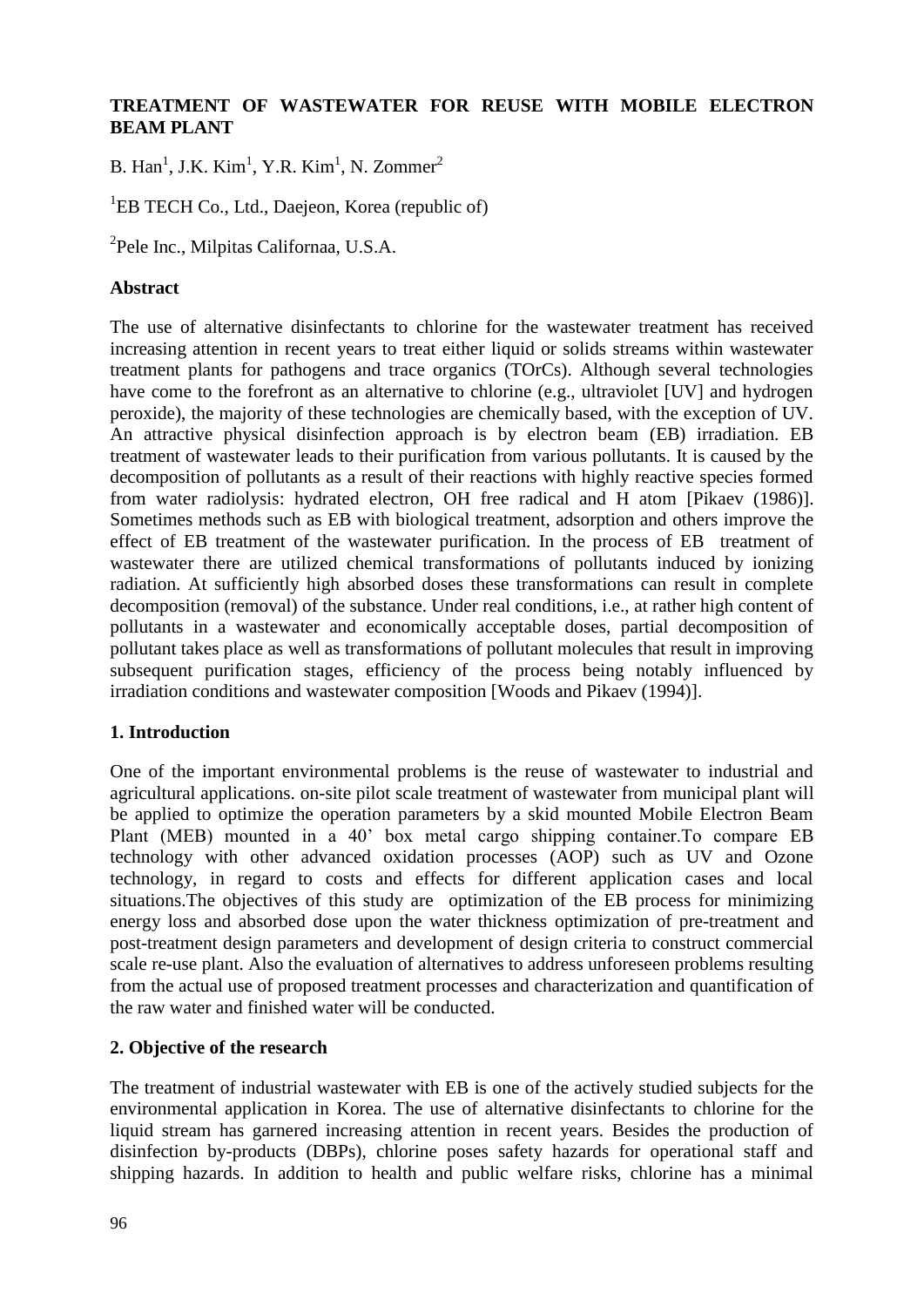# **TREATMENT OF WASTEWATER FOR REUSE WITH MOBILE ELECTRON BEAM PLANT**

B. Han<sup>1</sup>, J.K. Kim<sup>1</sup>, Y.R. Kim<sup>1</sup>, N. Zommer<sup>2</sup>

<sup>1</sup>EB TECH Co., Ltd., Daejeon, Korea (republic of)

2 Pele Inc., Milpitas Californaa, U.S.A.

#### **Abstract**

The use of alternative disinfectants to chlorine for the wastewater treatment has received increasing attention in recent years to treat either liquid or solids streams within wastewater treatment plants for pathogens and trace organics (TOrCs). Although several technologies have come to the forefront as an alternative to chlorine (e.g., ultraviolet [UV] and hydrogen peroxide), the majority of these technologies are chemically based, with the exception of UV. An attractive physical disinfection approach is by electron beam (EB) irradiation. EB treatment of wastewater leads to their purification from various pollutants. It is caused by the decomposition of pollutants as a result of their reactions with highly reactive species formed from water radiolysis: hydrated electron, OH free radical and H atom [Pikaev (1986)]. Sometimes methods such as EB with biological treatment, adsorption and others improve the effect of EB treatment of the wastewater purification. In the process of EB treatment of wastewater there are utilized chemical transformations of pollutants induced by ionizing radiation. At sufficiently high absorbed doses these transformations can result in complete decomposition (removal) of the substance. Under real conditions, i.e., at rather high content of pollutants in a wastewater and economically acceptable doses, partial decomposition of pollutant takes place as well as transformations of pollutant molecules that result in improving subsequent purification stages, efficiency of the process being notably influenced by irradiation conditions and wastewater composition [Woods and Pikaev (1994)].

## **1. Introduction**

One of the important environmental problems is the reuse of wastewater to industrial and agricultural applications. on-site pilot scale treatment of wastewater from municipal plant will be applied to optimize the operation parameters by a skid mounted Mobile Electron Beam Plant (MEB) mounted in a 40' box metal cargo shipping container.To compare EB technology with other advanced oxidation processes (AOP) such as UV and Ozone technology, in regard to costs and effects for different application cases and local situations.The objectives of this study are optimization of the EB process for minimizing energy loss and absorbed dose upon the water thickness optimization of pre-treatment and post-treatment design parameters and development of design criteria to construct commercial scale re-use plant. Also the evaluation of alternatives to address unforeseen problems resulting from the actual use of proposed treatment processes and characterization and quantification of the raw water and finished water will be conducted.

## **2. Objective of the research**

The treatment of industrial wastewater with EB is one of the actively studied subjects for the environmental application in Korea. The use of alternative disinfectants to chlorine for the liquid stream has garnered increasing attention in recent years. Besides the production of disinfection by-products (DBPs), chlorine poses safety hazards for operational staff and shipping hazards. In addition to health and public welfare risks, chlorine has a minimal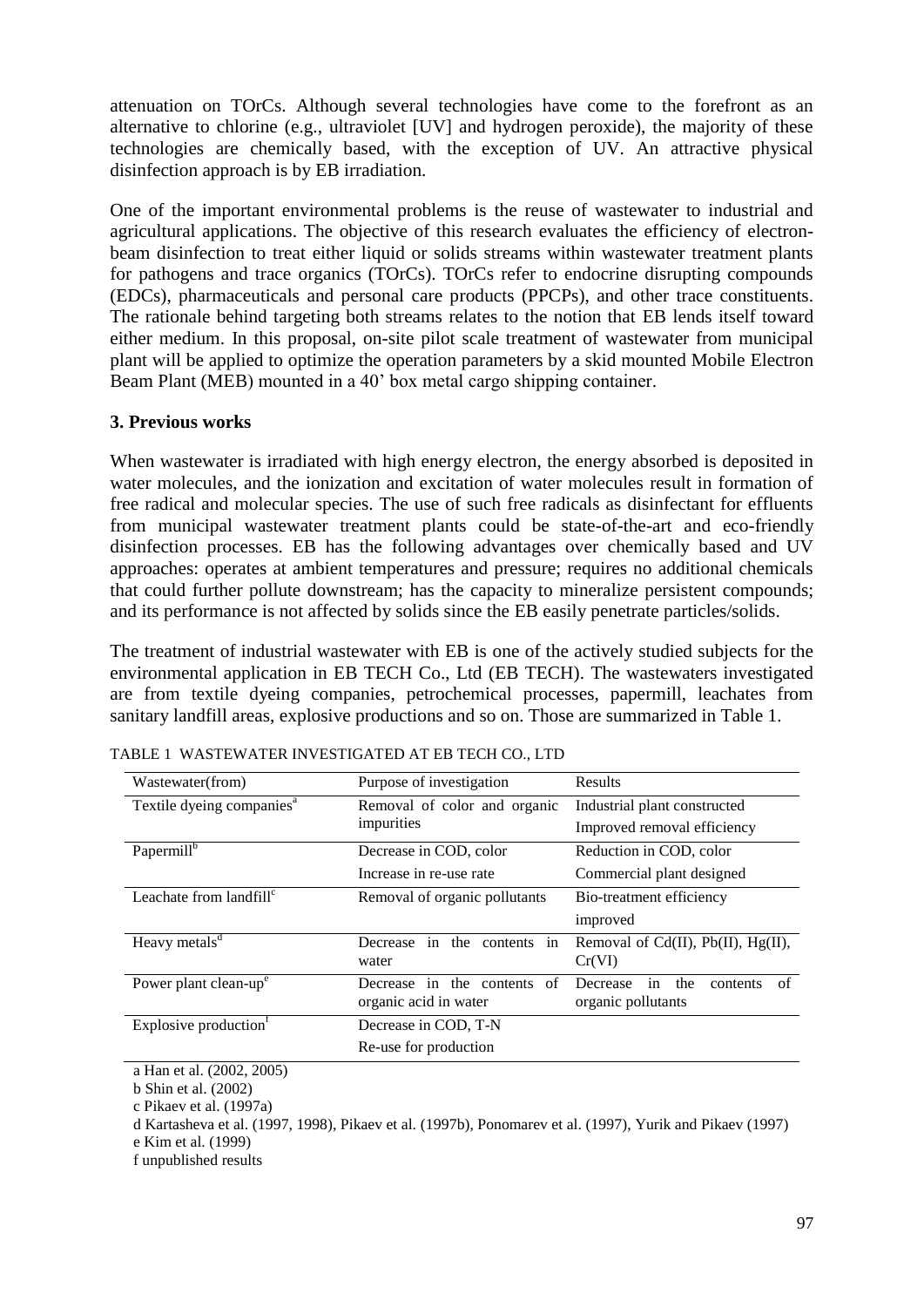attenuation on TOrCs. Although several technologies have come to the forefront as an alternative to chlorine (e.g., ultraviolet [UV] and hydrogen peroxide), the majority of these technologies are chemically based, with the exception of UV. An attractive physical disinfection approach is by EB irradiation.

One of the important environmental problems is the reuse of wastewater to industrial and agricultural applications. The objective of this research evaluates the efficiency of electronbeam disinfection to treat either liquid or solids streams within wastewater treatment plants for pathogens and trace organics (TOrCs). TOrCs refer to endocrine disrupting compounds (EDCs), pharmaceuticals and personal care products (PPCPs), and other trace constituents. The rationale behind targeting both streams relates to the notion that EB lends itself toward either medium. In this proposal, on-site pilot scale treatment of wastewater from municipal plant will be applied to optimize the operation parameters by a skid mounted Mobile Electron Beam Plant (MEB) mounted in a 40' box metal cargo shipping container.

#### **3. Previous works**

When wastewater is irradiated with high energy electron, the energy absorbed is deposited in water molecules, and the ionization and excitation of water molecules result in formation of free radical and molecular species. The use of such free radicals as disinfectant for effluents from municipal wastewater treatment plants could be state-of-the-art and eco-friendly disinfection processes. EB has the following advantages over chemically based and UV approaches: operates at ambient temperatures and pressure; requires no additional chemicals that could further pollute downstream; has the capacity to mineralize persistent compounds; and its performance is not affected by solids since the EB easily penetrate particles/solids.

The treatment of industrial wastewater with EB is one of the actively studied subjects for the environmental application in EB TECH Co., Ltd (EB TECH). The wastewaters investigated are from textile dyeing companies, petrochemical processes, papermill, leachates from sanitary landfill areas, explosive productions and so on. Those are summarized in Table 1.

| Wastewater(from)                      | Purpose of investigation                                | Results                                                       |  |  |  |
|---------------------------------------|---------------------------------------------------------|---------------------------------------------------------------|--|--|--|
| Textile dyeing companies <sup>a</sup> | Removal of color and organic                            | Industrial plant constructed                                  |  |  |  |
|                                       | impurities                                              | Improved removal efficiency                                   |  |  |  |
| Papermill <sup>b</sup>                | Decrease in COD, color                                  | Reduction in COD, color                                       |  |  |  |
|                                       | Increase in re-use rate                                 | Commercial plant designed                                     |  |  |  |
| Leachate from landfill $\mathfrak{c}$ | Removal of organic pollutants                           | Bio-treatment efficiency                                      |  |  |  |
|                                       |                                                         | improved                                                      |  |  |  |
| Heavy metals <sup>d</sup>             | Decrease in the contents in<br>water                    | Removal of Cd(II), Pb(II), Hg(II),<br>Cr(VI)                  |  |  |  |
| Power plant clean-up <sup>e</sup>     | Decrease in the contents<br>of<br>organic acid in water | in<br>the<br>of<br>Decrease<br>contents<br>organic pollutants |  |  |  |
| Explosive production <sup>t</sup>     | Decrease in COD, T-N                                    |                                                               |  |  |  |
|                                       | Re-use for production                                   |                                                               |  |  |  |

TABLE 1 WASTEWATER INVESTIGATED AT EB TECH CO., LTD

a Han et al. (2002, 2005)

b Shin et al. (2002)

c Pikaev et al. (1997a)

d Kartasheva et al. (1997, 1998), Pikaev et al. (1997b), Ponomarev et al. (1997), Yurik and Pikaev (1997)

e Kim et al. (1999)

f unpublished results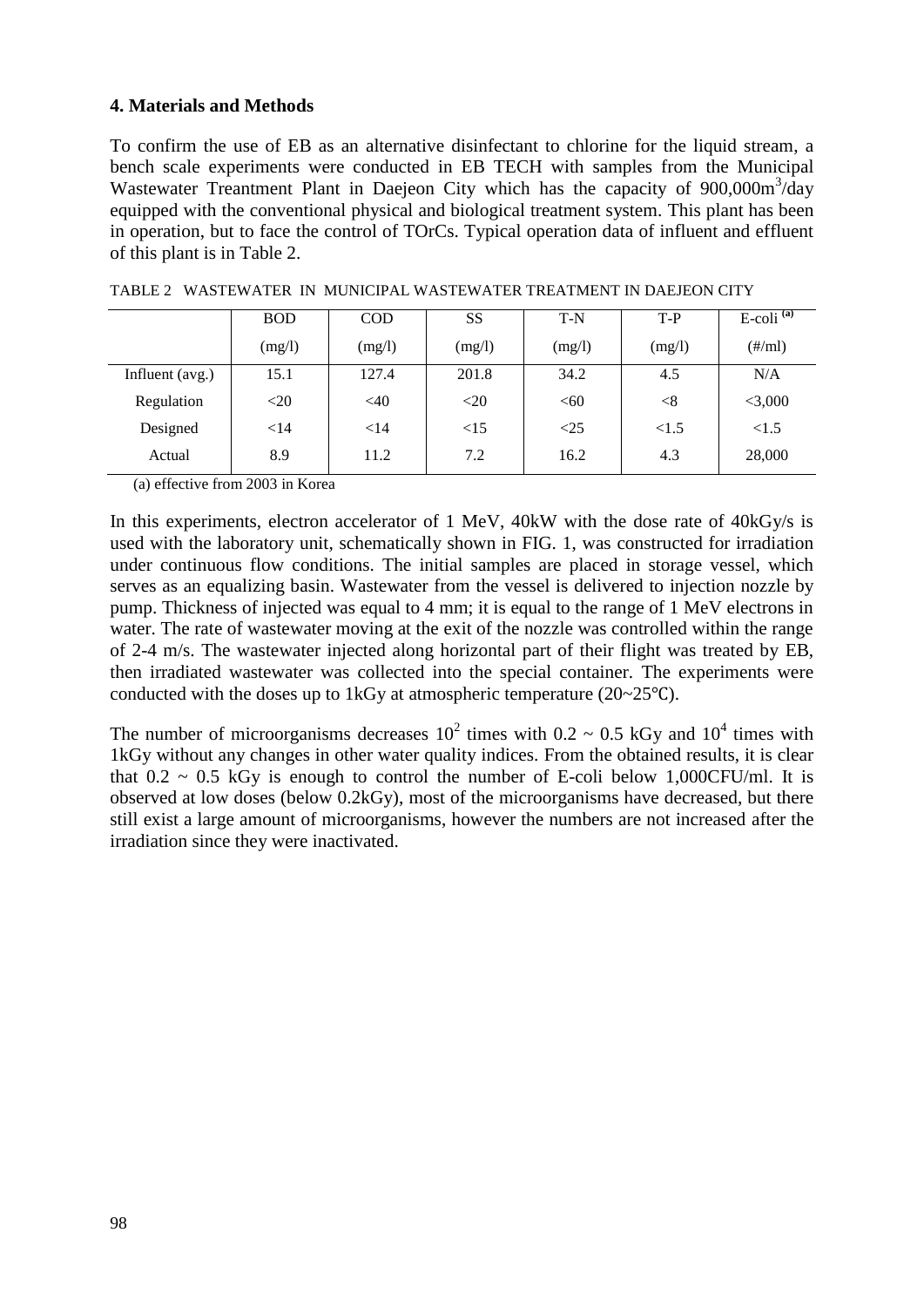#### **4. Materials and Methods**

To confirm the use of EB as an alternative disinfectant to chlorine for the liquid stream, a bench scale experiments were conducted in EB TECH with samples from the Municipal Wastewater Treantment Plant in Daejeon City which has the capacity of 900,000m<sup>3</sup>/day equipped with the conventional physical and biological treatment system. This plant has been in operation, but to face the control of TOrCs. Typical operation data of influent and effluent of this plant is in Table 2.

|                 | <b>BOD</b> | <b>COD</b> | <b>SS</b> | $T-N$     | $T-P$  | $E$ -coli <sup>(a)</sup> |
|-----------------|------------|------------|-----------|-----------|--------|--------------------------|
|                 | (mg/l)     | (mg/l)     | (mg/l)    | (mg/l)    | (mg/l) | $(\#/ml)$                |
| Influent (avg.) | 15.1       | 127.4      | 201.8     | 34.2      | 4.5    | N/A                      |
| Regulation      | $<$ 20     | <40        | $<$ 20    | <60       | $<$ 8  | $<$ 3,000                |
| Designed        | $<$ 14     | $<$ 14     | <15       | $\leq$ 25 | < 1.5  | <1.5                     |
| Actual          | 8.9        | 11.2       | 7.2       | 16.2      | 4.3    | 28,000                   |

TABLE 2 WASTEWATER IN MUNICIPAL WASTEWATER TREATMENT IN DAEJEON CITY

(a) effective from 2003 in Korea

In this experiments, electron accelerator of 1 MeV, 40kW with the dose rate of 40kGy/s is used with the laboratory unit, schematically shown in FIG. 1, was constructed for irradiation under continuous flow conditions. The initial samples are placed in storage vessel, which serves as an equalizing basin. Wastewater from the vessel is delivered to injection nozzle by pump. Thickness of injected was equal to 4 mm; it is equal to the range of 1 MeV electrons in water. The rate of wastewater moving at the exit of the nozzle was controlled within the range of 2-4 m/s. The wastewater injected along horizontal part of their flight was treated by EB, then irradiated wastewater was collected into the special container. The experiments were conducted with the doses up to 1kGy at atmospheric temperature  $(20~25~°C)$ .

The number of microorganisms decreases  $10^2$  times with 0.2  $\sim$  0.5 kGy and 10<sup>4</sup> times with 1kGy without any changes in other water quality indices. From the obtained results, it is clear that  $0.2 \sim 0.5$  kGy is enough to control the number of E-coli below 1,000CFU/ml. It is observed at low doses (below 0.2kGy), most of the microorganisms have decreased, but there still exist a large amount of microorganisms, however the numbers are not increased after the irradiation since they were inactivated.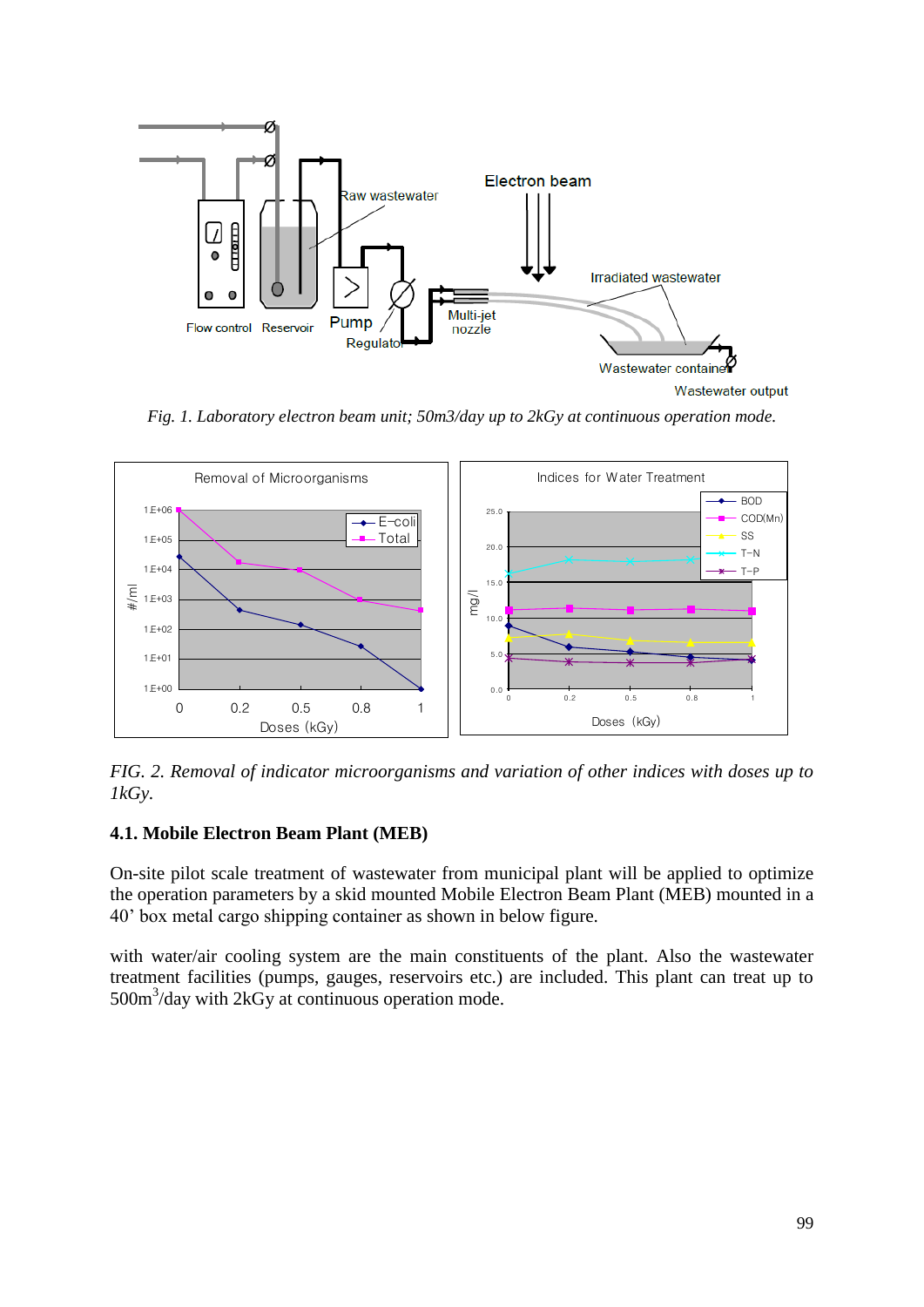

*Fig. 1. Laboratory electron beam unit; 50m3/day up to 2kGy at continuous operation mode.*



*FIG. 2. Removal of indicator microorganisms and variation of other indices with doses up to 1kGy.*

## **4.1. Mobile Electron Beam Plant (MEB)**

On-site pilot scale treatment of wastewater from municipal plant will be applied to optimize the operation parameters by a skid mounted Mobile Electron Beam Plant (MEB) mounted in a 40' box metal cargo shipping container as shown in below figure.

with water/air cooling system are the main constituents of the plant. Also the wastewater treatment facilities (pumps, gauges, reservoirs etc.) are included. This plant can treat up to 500m<sup>3</sup>/day with 2kGy at continuous operation mode.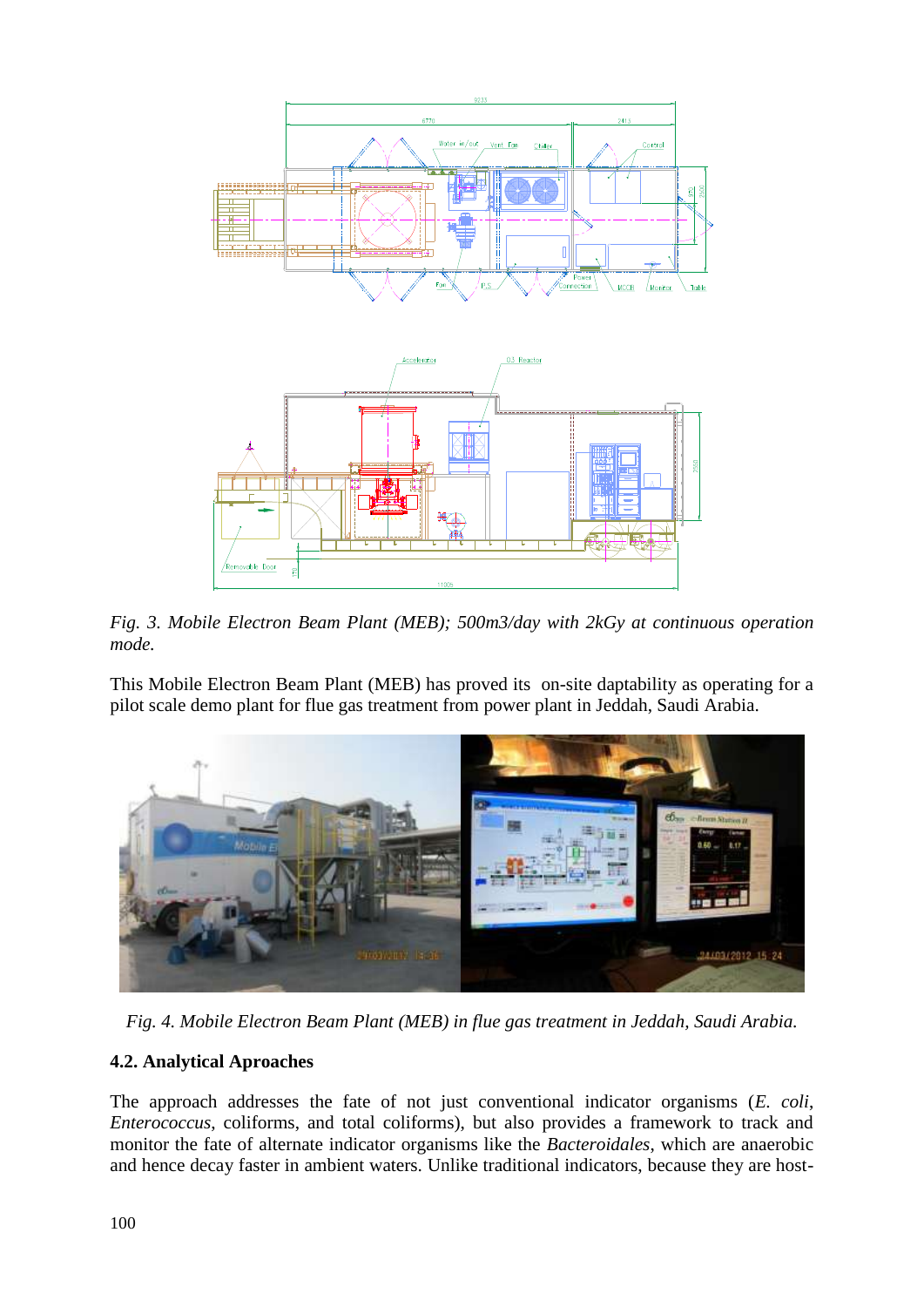

*Fig. 3. Mobile Electron Beam Plant (MEB); 500m3/day with 2kGy at continuous operation mode.*

This Mobile Electron Beam Plant (MEB) has proved its on-site daptability as operating for a pilot scale demo plant for flue gas treatment from power plant in Jeddah, Saudi Arabia.



*Fig. 4. Mobile Electron Beam Plant (MEB) in flue gas treatment in Jeddah, Saudi Arabia.*

## **4.2. Analytical Aproaches**

The approach addresses the fate of not just conventional indicator organisms (*E. coli*, *Enterococcus*, coliforms, and total coliforms), but also provides a framework to track and monitor the fate of alternate indicator organisms like the *Bacteroidales*, which are anaerobic and hence decay faster in ambient waters. Unlike traditional indicators, because they are host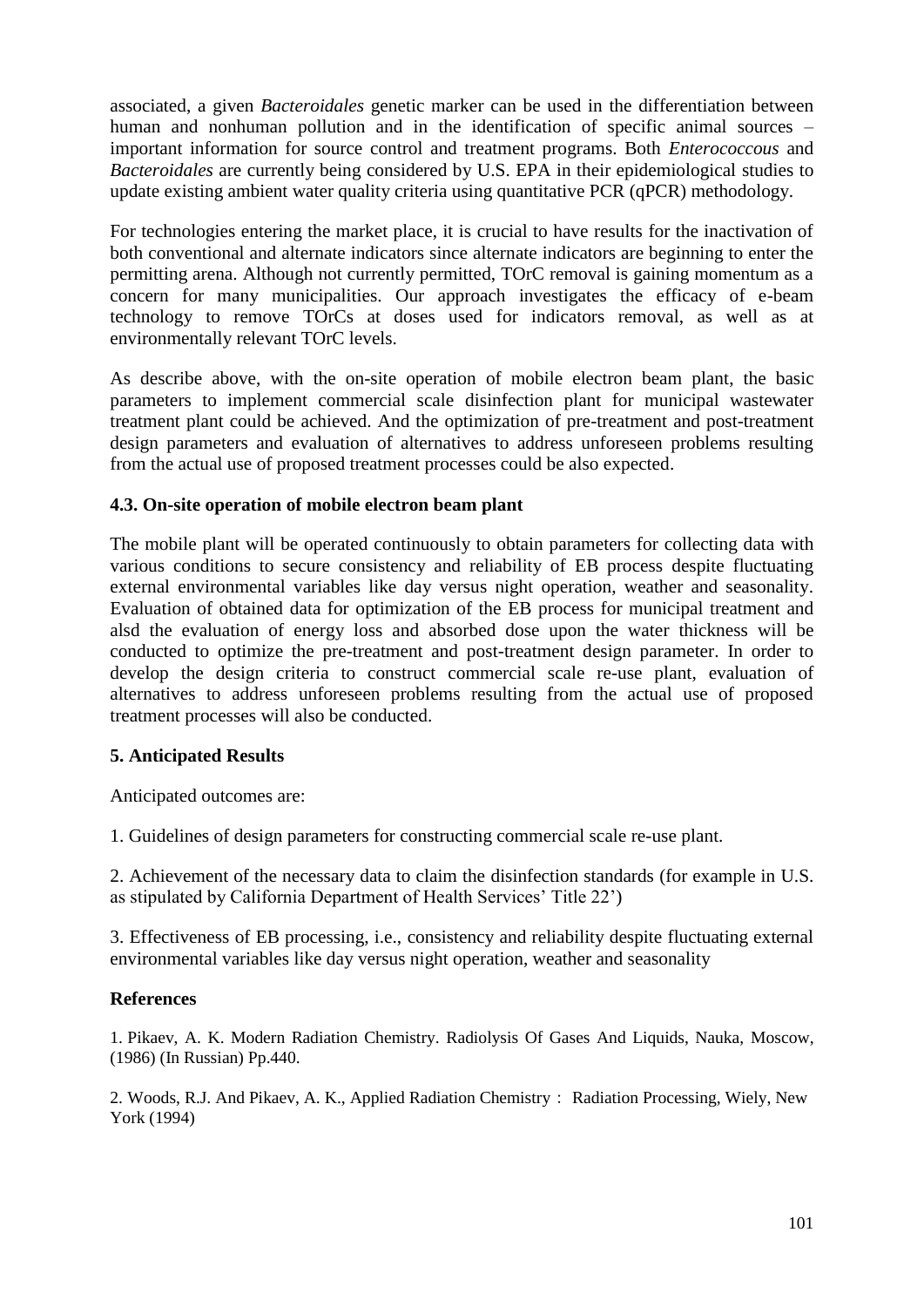associated, a given *Bacteroidales* genetic marker can be used in the differentiation between human and nonhuman pollution and in the identification of specific animal sources – important information for source control and treatment programs. Both *Enterococcous* and *Bacteroidales* are currently being considered by U.S. EPA in their epidemiological studies to update existing ambient water quality criteria using quantitative PCR (qPCR) methodology.

For technologies entering the market place, it is crucial to have results for the inactivation of both conventional and alternate indicators since alternate indicators are beginning to enter the permitting arena. Although not currently permitted, TOrC removal is gaining momentum as a concern for many municipalities. Our approach investigates the efficacy of e-beam technology to remove TOrCs at doses used for indicators removal, as well as at environmentally relevant TOrC levels.

As describe above, with the on-site operation of mobile electron beam plant, the basic parameters to implement commercial scale disinfection plant for municipal wastewater treatment plant could be achieved. And the optimization of pre-treatment and post-treatment design parameters and evaluation of alternatives to address unforeseen problems resulting from the actual use of proposed treatment processes could be also expected.

#### **4.3. On-site operation of mobile electron beam plant**

The mobile plant will be operated continuously to obtain parameters for collecting data with various conditions to secure consistency and reliability of EB process despite fluctuating external environmental variables like day versus night operation, weather and seasonality. Evaluation of obtained data for optimization of the EB process for municipal treatment and alsd the evaluation of energy loss and absorbed dose upon the water thickness will be conducted to optimize the pre-treatment and post-treatment design parameter. In order to develop the design criteria to construct commercial scale re-use plant, evaluation of alternatives to address unforeseen problems resulting from the actual use of proposed treatment processes will also be conducted.

#### **5. Anticipated Results**

Anticipated outcomes are:

1. Guidelines of design parameters for constructing commercial scale re-use plant.

2. Achievement of the necessary data to claim the disinfection standards (for example in U.S. as stipulated by California Department of Health Services' Title 22')

3. Effectiveness of EB processing, i.e., consistency and reliability despite fluctuating external environmental variables like day versus night operation, weather and seasonality

## **References**

1. Pikaev, A. K. Modern Radiation Chemistry. Radiolysis Of Gases And Liquids, Nauka, Moscow, (1986) (In Russian) Pp.440.

2. Woods, R.J. And Pikaev, A. K., Applied Radiation Chemistry: Radiation Processing, Wiely, New York (1994)